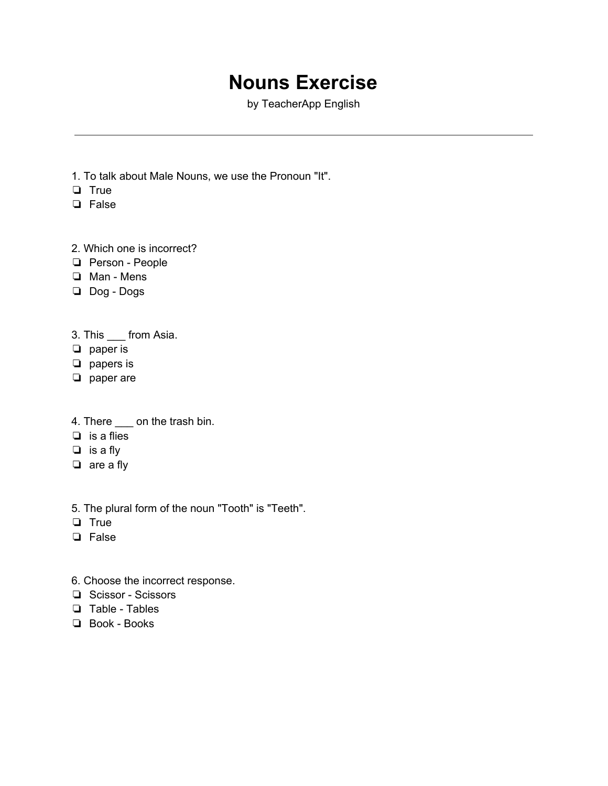## **Nouns Exercise**

by TeacherApp English

- 1. To talk about Male Nouns, we use the Pronoun "It".
- ❏ True
- ❏ False
- 2. Which one is incorrect?
- ❏ Person People
- ❏ Man Mens
- ❏ Dog Dogs

3. This \_\_\_ from Asia.

- ❏ paper is
- ❏ papers is
- ❏ paper are
- 4. There \_\_\_\_ on the trash bin.
- ❏ is a flies
- ❏ is a fly
- ❏ are a fly
- 5. The plural form of the noun "Tooth" is "Teeth".
- ❏ True
- ❏ False
- 6. Choose the incorrect response.
- ❏ Scissor Scissors
- ❏ Table Tables
- ❏ Book Books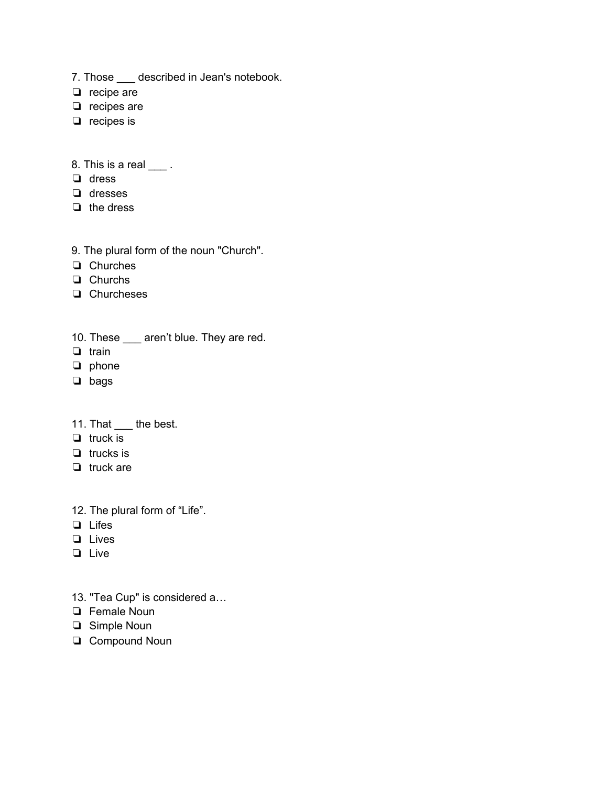- 7. Those \_\_\_ described in Jean's notebook.
- ❏ recipe are
- ❏ recipes are
- ❏ recipes is
- 8. This is a real \_\_\_\_.
- ❏ dress
- ❏ dresses
- ❏ the dress
- 9. The plural form of the noun "Church".
- ❏ Churches
- ❏ Churchs
- ❏ Churcheses
- 10. These \_\_\_ aren't blue. They are red.
- ❏ train
- ❏ phone
- ❏ bags
- 11. That \_\_\_ the best.
- ❏ truck is
- ❏ trucks is
- ❏ truck are
- 12. The plural form of "Life".
- ❏ Lifes
- ❏ Lives
- ❏ Live
- 13. "Tea Cup" is considered a…
- ❏ Female Noun
- ❏ Simple Noun
- ❏ Compound Noun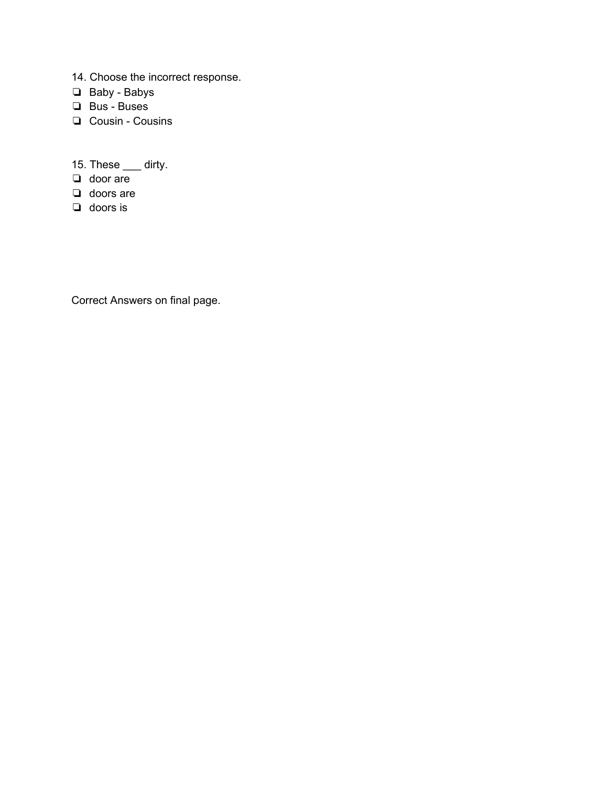- 14. Choose the incorrect response.
- ❏ Baby Babys
- ❏ Bus Buses
- ❏ Cousin Cousins
- 15. These <u>equility</u>.
- ❏ door are
- ❏ doors are
- ❏ doors is

Correct Answers on final page.